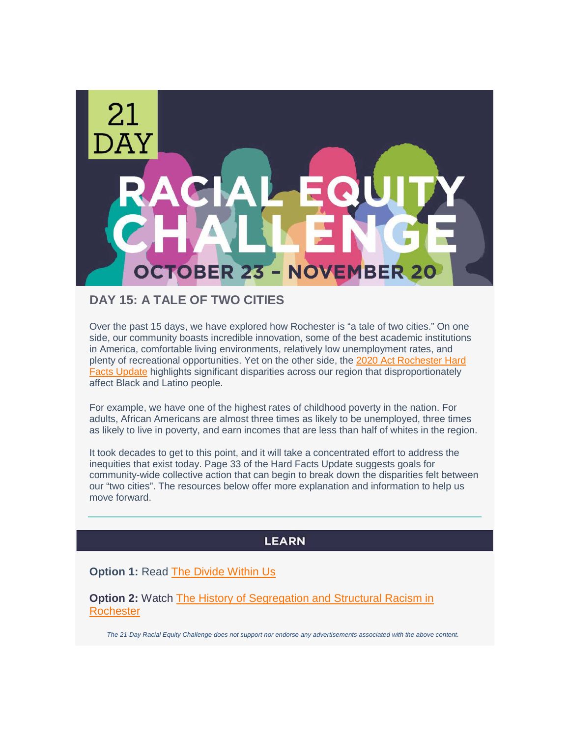

# **DAY 15: A TALE OF TWO CITIES**

Over the past 15 days, we have explored how Rochester is "a tale of two cities." On one side, our community boasts incredible innovation, some of the best academic institutions in America, comfortable living environments, relatively low unemployment rates, and plenty of recreational opportunities. Yet on the other side, the [2020 Act Rochester Hard](https://www.actrochester.org/tinymce/source/2020HardFactsUpdate/2020HardFacts.pdf)  [Facts Update](https://www.actrochester.org/tinymce/source/2020HardFactsUpdate/2020HardFacts.pdf) highlights significant disparities across our region that disproportionately affect Black and Latino people.

For example, we have one of the highest rates of childhood poverty in the nation. For adults, African Americans are almost three times as likely to be unemployed, three times as likely to live in poverty, and earn incomes that are less than half of whites in the region.

It took decades to get to this point, and it will take a concentrated effort to address the inequities that exist today. Page 33 of the Hard Facts Update suggests goals for community-wide collective action that can begin to break down the disparities felt between our "two cities". The resources below offer more explanation and information to help us move forward.

## **LEARN**

**Option 1: Read [The Divide Within Us](https://rochesterbeacon.com/2020/06/04/the-divide-within-us/)** 

**Option 2:** Watch The History of Segregation and Structural Racism in **[Rochester](https://www.youtube.com/watch?v=-QoaclP61Qg)** 

*The 21-Day Racial Equity Challenge does not support nor endorse any advertisements associated with the above content.*